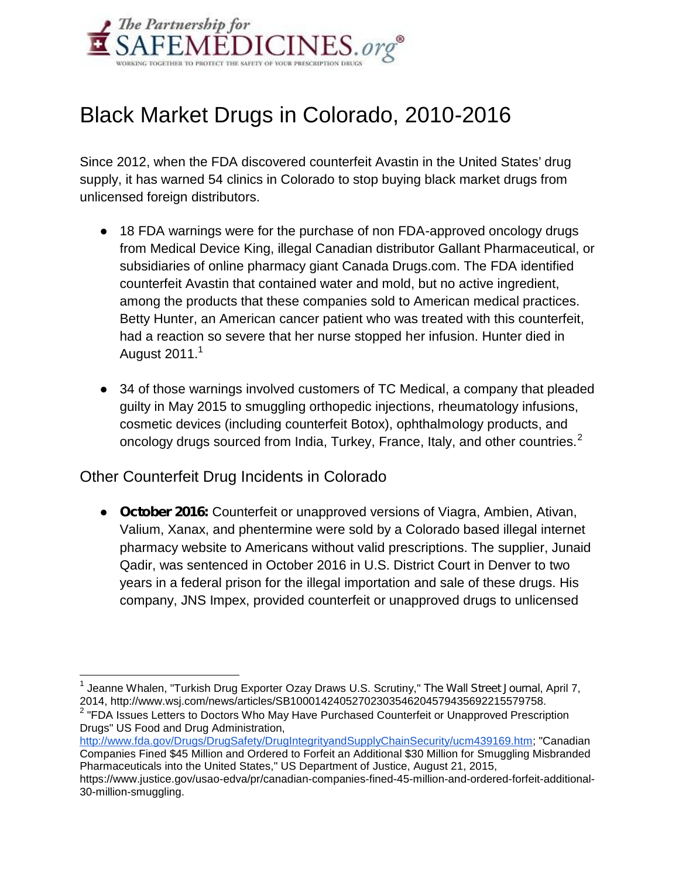

## Black Market Drugs in Colorado, 2010-2016

Since 2012, when the FDA discovered counterfeit Avastin in the United States' drug supply, it has warned 54 clinics in Colorado to stop buying black market drugs from unlicensed foreign distributors.

18 FDA warnings were for the purchase of non FDA-approved oncology drugs from Medical Device King, illegal Canadian distributor Gallant Pharmaceutical, or subsidiaries of online pharmacy giant Canada Drugs.com. The FDA identified counterfeit Avastin that contained water and mold, but no active ingredient, among the products that these companies sold to American medical practices. Betty Hunter, an American cancer patient who was treated with this counterfeit, had a reaction so severe that her nurse stopped her infusion. Hunter died in August  $2011.<sup>1</sup>$ 

34 of those warnings involved customers of TC Medical, a company that pleaded guilty in May 2015 to smuggling orthopedic injections, rheumatology infusions, cosmetic devices (including counterfeit Botox), ophthalmology products, and oncology drugs sourced from India, Turkey, France, Italy, and other countries. $2$ 

Other Counterfeit Drug Incidents in Colorado

**October 2016:** Counterfeit or unapproved versions of Viagra, Ambien, Ativan, Valium, Xanax, and phentermine were sold by a Colorado based illegal internet pharmacy website to Americans without valid prescriptions. The supplier, Junaid Qadir, was sentenced in October 2016 in U.S. District Court in Denver to two years in a federal prison for the illegal importation and sale of these drugs. His company, JNS Impex, provided counterfeit or unapproved drugs to unlicensed

<sup>1</sup> Jeanne Whalen, "Turkish Drug Exporter Ozay Draws U.S. Scrutiny," *The Wall Street Journal*, April 7, 2014, http://www.wsj.com/news/articles/SB10001424052702303546204579435692215579758.

 $^{\text{2}}$  "FDA Issues Letters to Doctors Who May Have Purchased Counterfeit or Unapproved Prescription Drugs" US Food and Drug Administration,

http://www.fda.gov/Drugs/DrugSafety/DrugIntegrityandSupplyChainSecurity/ucm439169.htm; "Canadian Companies Fined \$45 Million and Ordered to Forfeit an Additional \$30 Million for Smuggling Misbranded Pharmaceuticals into the United States," US Department of Justice, August 21, 2015,

https://www.justice.gov/usao-edva/pr/canadian-companies-fined-45-million-and-ordered-forfeit-additional- 30-million-smuggling.